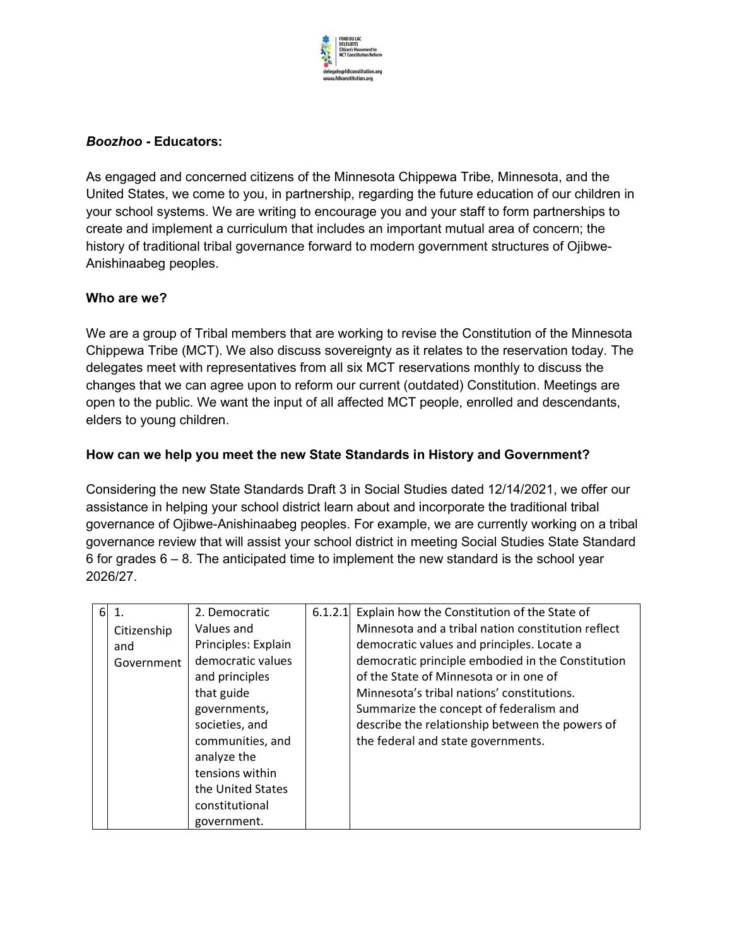

## Boozhoo - Educators:

As engaged and concerned citizens of the Minnesota Chippewa Tribe, Minnesota, and the United States, we come to you, in partnership, regarding the future education of our children in your school systems. We are writing to encourage you and your staff to form partnerships to create and implement a curriculum that includes an important mutual area of concern; the history of traditional tribal governance forward to modern government structures of Ojibwe-Anishinaabeg peoples.

## Who are we?

We are a group of Tribal members that are working to revise the Constitution of the Minnesota Chippewa Tribe (MCT). We also discuss sovereignty as it relates to the reservation today. The delegates meet with representatives from all six MCT reservations monthly to discuss the changes that we can agree upon to reform our current (outdated) Constitution. Meetings are open to the public. We want the input of all affected MCT people, enrolled and descendants, elders to young children.

## How can we help you meet the new State Standards in History and Government?

Considering the new State Standards Draft 3 in Social Studies dated 12/14/2021, we offer our assistance in helping your school district learn about and incorporate the traditional tribal governance of Ojibwe-Anishinaabeg peoples. For example, we are currently working on a tribal governance review that will assist your school district in meeting Social Studies State Standard 6 for grades  $6 - 8$ . The anticipated time to implement the new standard is the school year 2026/27.

| 6 |             | 2. Democratic       | 6.1.2.1 | Explain how the Constitution of the State of       |
|---|-------------|---------------------|---------|----------------------------------------------------|
|   | Citizenship | Values and          |         | Minnesota and a tribal nation constitution reflect |
|   | and         | Principles: Explain |         | democratic values and principles. Locate a         |
|   | Government  | democratic values   |         | democratic principle embodied in the Constitution  |
|   |             | and principles      |         | of the State of Minnesota or in one of             |
|   |             | that guide          |         | Minnesota's tribal nations' constitutions.         |
|   |             | governments,        |         | Summarize the concept of federalism and            |
|   |             | societies, and      |         | describe the relationship between the powers of    |
|   |             | communities, and    |         | the federal and state governments.                 |
|   |             | analyze the         |         |                                                    |
|   |             | tensions within     |         |                                                    |
|   |             | the United States   |         |                                                    |
|   |             | constitutional      |         |                                                    |
|   |             | government.         |         |                                                    |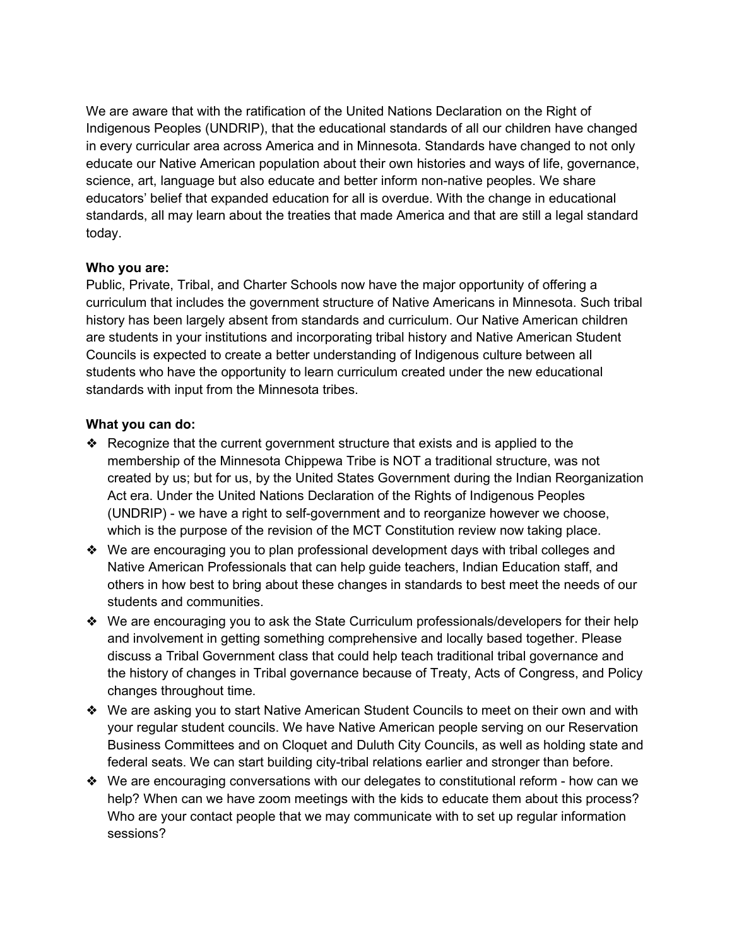We are aware that with the ratification of the United Nations Declaration on the Right of Indigenous Peoples (UNDRIP), that the educational standards of all our children have changed in every curricular area across America and in Minnesota. Standards have changed to not only educate our Native American population about their own histories and ways of life, governance, science, art, language but also educate and better inform non-native peoples. We share educators' belief that expanded education for all is overdue. With the change in educational standards, all may learn about the treaties that made America and that are still a legal standard today.

#### Who you are:

Public, Private, Tribal, and Charter Schools now have the major opportunity of offering a curriculum that includes the government structure of Native Americans in Minnesota. Such tribal history has been largely absent from standards and curriculum. Our Native American children are students in your institutions and incorporating tribal history and Native American Student Councils is expected to create a better understanding of Indigenous culture between all students who have the opportunity to learn curriculum created under the new educational standards with input from the Minnesota tribes.

## What you can do:

- ❖ Recognize that the current government structure that exists and is applied to the membership of the Minnesota Chippewa Tribe is NOT a traditional structure, was not created by us; but for us, by the United States Government during the Indian Reorganization Act era. Under the United Nations Declaration of the Rights of Indigenous Peoples (UNDRIP) - we have a right to self-government and to reorganize however we choose, which is the purpose of the revision of the MCT Constitution review now taking place.
- ❖ We are encouraging you to plan professional development days with tribal colleges and Native American Professionals that can help guide teachers, Indian Education staff, and others in how best to bring about these changes in standards to best meet the needs of our students and communities.
- ❖ We are encouraging you to ask the State Curriculum professionals/developers for their help and involvement in getting something comprehensive and locally based together. Please discuss a Tribal Government class that could help teach traditional tribal governance and the history of changes in Tribal governance because of Treaty, Acts of Congress, and Policy changes throughout time.
- ❖ We are asking you to start Native American Student Councils to meet on their own and with your regular student councils. We have Native American people serving on our Reservation Business Committees and on Cloquet and Duluth City Councils, as well as holding state and federal seats. We can start building city-tribal relations earlier and stronger than before.
- ❖ We are encouraging conversations with our delegates to constitutional reform how can we help? When can we have zoom meetings with the kids to educate them about this process? Who are your contact people that we may communicate with to set up regular information sessions?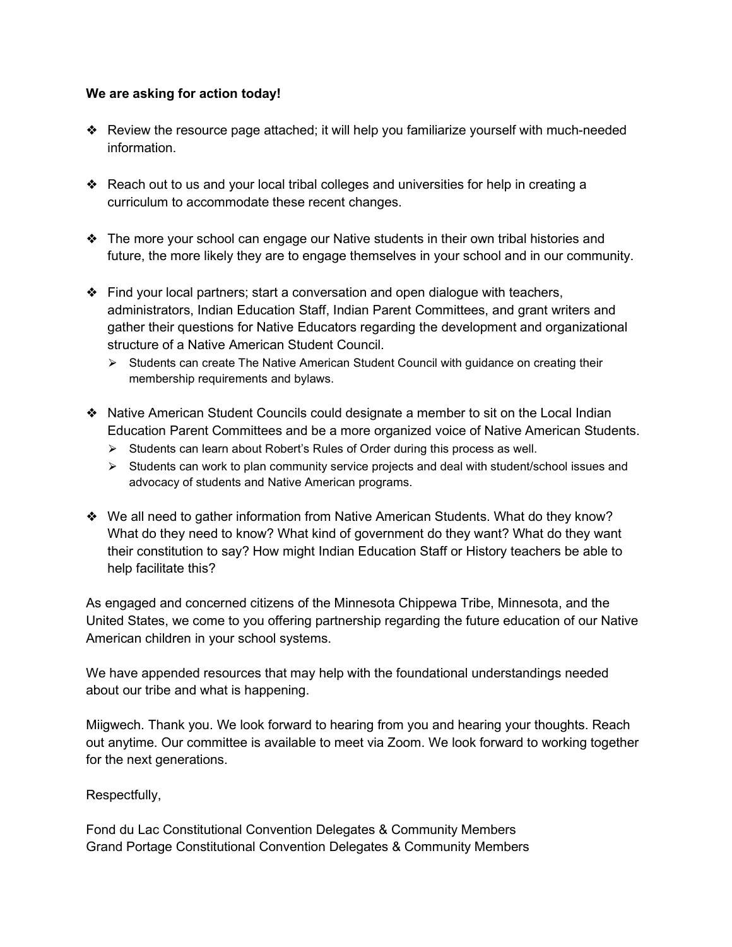#### We are asking for action today!

- ❖ Review the resource page attached; it will help you familiarize yourself with much-needed information.
- ❖ Reach out to us and your local tribal colleges and universities for help in creating a curriculum to accommodate these recent changes.
- ❖ The more your school can engage our Native students in their own tribal histories and future, the more likely they are to engage themselves in your school and in our community.
- ❖ Find your local partners; start a conversation and open dialogue with teachers, administrators, Indian Education Staff, Indian Parent Committees, and grant writers and gather their questions for Native Educators regarding the development and organizational structure of a Native American Student Council.
	- ⮚ Students can create The Native American Student Council with guidance on creating their membership requirements and bylaws.
- ❖ Native American Student Councils could designate a member to sit on the Local Indian Education Parent Committees and be a more organized voice of Native American Students.
	- ⮚ Students can learn about Robert's Rules of Order during this process as well.
	- $\triangleright$  Students can work to plan community service projects and deal with student/school issues and advocacy of students and Native American programs.
- ❖ We all need to gather information from Native American Students. What do they know? What do they need to know? What kind of government do they want? What do they want their constitution to say? How might Indian Education Staff or History teachers be able to help facilitate this?

As engaged and concerned citizens of the Minnesota Chippewa Tribe, Minnesota, and the United States, we come to you offering partnership regarding the future education of our Native American children in your school systems.

We have appended resources that may help with the foundational understandings needed about our tribe and what is happening.

Miigwech. Thank you. We look forward to hearing from you and hearing your thoughts. Reach out anytime. Our committee is available to meet via Zoom. We look forward to working together for the next generations.

Respectfully,

Fond du Lac Constitutional Convention Delegates & Community Members Grand Portage Constitutional Convention Delegates & Community Members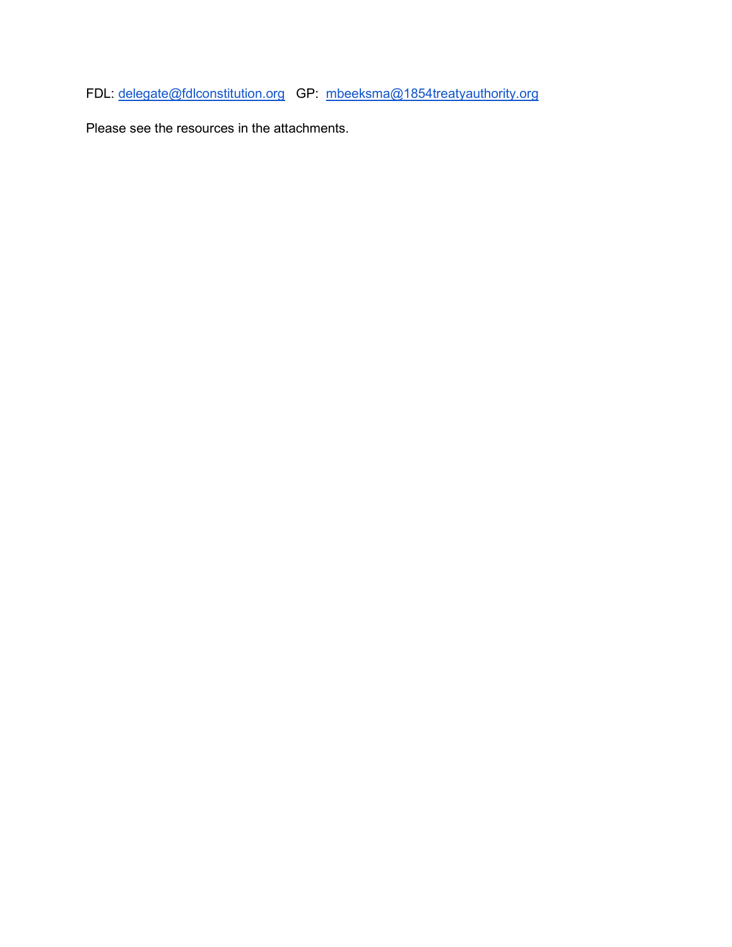FDL: delegate@fdlconstitution.org GP: mbeeksma@1854treatyauthority.org

Please see the resources in the attachments.